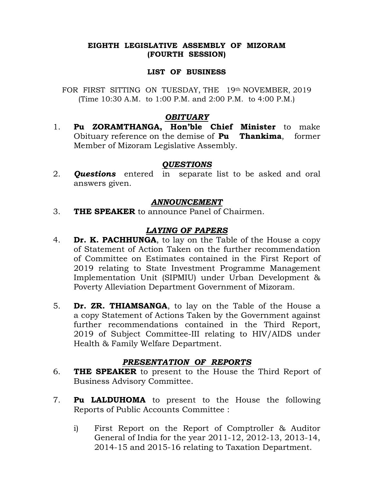#### EIGHTH LEGISLATIVE ASSEMBLY OF MIZORAM (FOURTH SESSION)

#### LIST OF BUSINESS

FOR FIRST SITTING ON TUESDAY, THE 19th NOVEMBER, 2019 (Time 10:30 A.M. to 1:00 P.M. and 2:00 P.M. to 4:00 P.M.)

## **OBITUARY**

1. Pu ZORAMTHANGA, Hon'ble Chief Minister to make Obituary reference on the demise of Pu Thankima, former Member of Mizoram Legislative Assembly.

## **QUESTIONS**

2. **Questions** entered in separate list to be asked and oral answers given.

# ANNOUNCEMENT

3. THE SPEAKER to announce Panel of Chairmen.

# LAYING OF PAPERS

- 4. **Dr. K. PACHHUNGA**, to lay on the Table of the House a copy of Statement of Action Taken on the further recommendation of Committee on Estimates contained in the First Report of 2019 relating to State Investment Programme Management Implementation Unit (SIPMIU) under Urban Development & Poverty Alleviation Department Government of Mizoram.
- 5. Dr. ZR. THIAMSANGA, to lay on the Table of the House a a copy Statement of Actions Taken by the Government against further recommendations contained in the Third Report, 2019 of Subject Committee-III relating to HIV/AIDS under Health & Family Welfare Department.

## PRESENTATION OF REPORTS

- 6. **THE SPEAKER** to present to the House the Third Report of Business Advisory Committee.
- 7. Pu LALDUHOMA to present to the House the following Reports of Public Accounts Committee :
	- i) First Report on the Report of Comptroller & Auditor General of India for the year 2011-12, 2012-13, 2013-14, 2014-15 and 2015-16 relating to Taxation Department.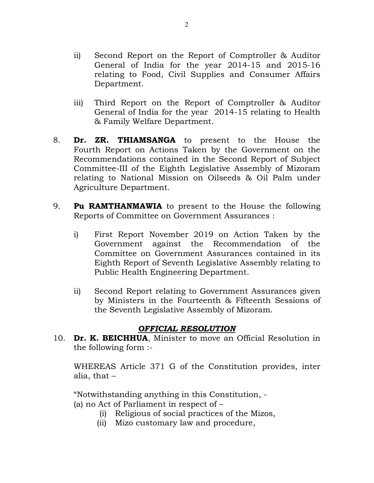- ii) Second Report on the Report of Comptroller & Auditor General of India for the year 2014-15 and 2015-16 relating to Food, Civil Supplies and Consumer Affairs Department.
- iii) Third Report on the Report of Comptroller & Auditor General of India for the year 2014-15 relating to Health & Family Welfare Department.
- 8. Dr. ZR. THIAMSANGA to present to the House the Fourth Report on Actions Taken by the Government on the Recommendations contained in the Second Report of Subject Committee-III of the Eighth Legislative Assembly of Mizoram relating to National Mission on Oilseeds & Oil Palm under Agriculture Department.
- 9. Pu RAMTHANMAWIA to present to the House the following Reports of Committee on Government Assurances :
	- i) First Report November 2019 on Action Taken by the Government against the Recommendation of the Committee on Government Assurances contained in its Eighth Report of Seventh Legislative Assembly relating to Public Health Engineering Department.
	- ii) Second Report relating to Government Assurances given by Ministers in the Fourteenth & Fifteenth Sessions of the Seventh Legislative Assembly of Mizoram.

## OFFICIAL RESOLUTION

10. Dr. K. BEICHHUA, Minister to move an Official Resolution in the following form :-

 WHEREAS Article 371 G of the Constitution provides, inter alia, that –

 "Notwithstanding anything in this Constitution, - (a) no Act of Parliament in respect of –

- (i) Religious of social practices of the Mizos,
- (ii) Mizo customary law and procedure,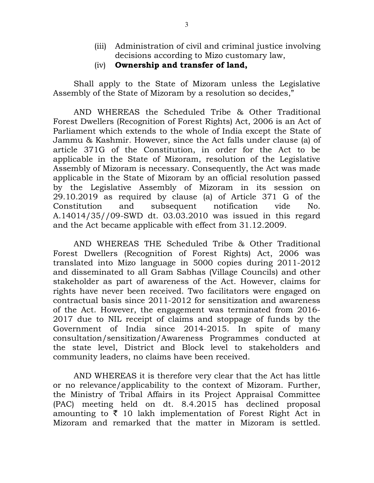(iii) Administration of civil and criminal justice involving decisions according to Mizo customary law,

#### (iv) Ownership and transfer of land,

Shall apply to the State of Mizoram unless the Legislative Assembly of the State of Mizoram by a resolution so decides,"

 AND WHEREAS the Scheduled Tribe & Other Traditional Forest Dwellers (Recognition of Forest Rights) Act, 2006 is an Act of Parliament which extends to the whole of India except the State of Jammu & Kashmir. However, since the Act falls under clause (a) of article 371G of the Constitution, in order for the Act to be applicable in the State of Mizoram, resolution of the Legislative Assembly of Mizoram is necessary. Consequently, the Act was made applicable in the State of Mizoram by an official resolution passed by the Legislative Assembly of Mizoram in its session on 29.10.2019 as required by clause (a) of Article 371 G of the Constitution and subsequent notification vide No. A.14014/35//09-SWD dt. 03.03.2010 was issued in this regard and the Act became applicable with effect from 31.12.2009.

 AND WHEREAS THE Scheduled Tribe & Other Traditional Forest Dwellers (Recognition of Forest Rights) Act, 2006 was translated into Mizo language in 5000 copies during 2011-2012 and disseminated to all Gram Sabhas (Village Councils) and other stakeholder as part of awareness of the Act. However, claims for rights have never been received. Two facilitators were engaged on contractual basis since 2011-2012 for sensitization and awareness of the Act. However, the engagement was terminated from 2016- 2017 due to NIL receipt of claims and stoppage of funds by the Government of India since 2014-2015. In spite of many consultation/sensitization/Awareness Programmes conducted at the state level, District and Block level to stakeholders and community leaders, no claims have been received.

 AND WHEREAS it is therefore very clear that the Act has little or no relevance/applicability to the context of Mizoram. Further, the Ministry of Tribal Affairs in its Project Appraisal Committee (PAC) meeting held on dt. 8.4.2015 has declined proposal amounting to  $\bar{\zeta}$  10 lakh implementation of Forest Right Act in Mizoram and remarked that the matter in Mizoram is settled.